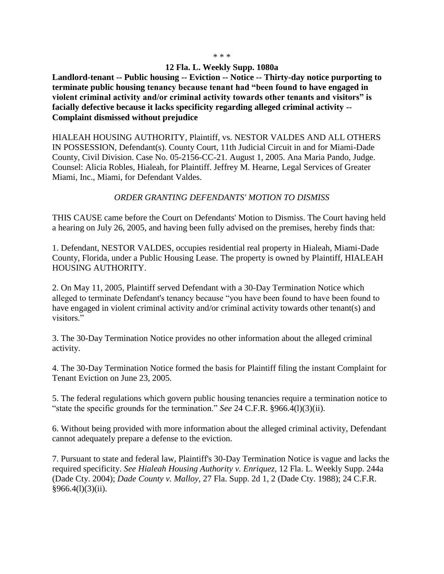## \* \* \*

## **12 Fla. L. Weekly Supp. 1080a**

**Landlord-tenant -- Public housing -- Eviction -- Notice -- Thirty-day notice purporting to terminate public housing tenancy because tenant had "been found to have engaged in violent criminal activity and/or criminal activity towards other tenants and visitors" is facially defective because it lacks specificity regarding alleged criminal activity -- Complaint dismissed without prejudice**

HIALEAH HOUSING AUTHORITY, Plaintiff, vs. NESTOR VALDES AND ALL OTHERS IN POSSESSION, Defendant(s). County Court, 11th Judicial Circuit in and for Miami-Dade County, Civil Division. Case No. 05-2156-CC-21. August 1, 2005. Ana Maria Pando, Judge. Counsel: Alicia Robles, Hialeah, for Plaintiff. Jeffrey M. Hearne, Legal Services of Greater Miami, Inc., Miami, for Defendant Valdes.

## *ORDER GRANTING DEFENDANTS' MOTION TO DISMISS*

THIS CAUSE came before the Court on Defendants' Motion to Dismiss. The Court having held a hearing on July 26, 2005, and having been fully advised on the premises, hereby finds that:

1. Defendant, NESTOR VALDES, occupies residential real property in Hialeah, Miami-Dade County, Florida, under a Public Housing Lease. The property is owned by Plaintiff, HIALEAH HOUSING AUTHORITY.

2. On May 11, 2005, Plaintiff served Defendant with a 30-Day Termination Notice which alleged to terminate Defendant's tenancy because "you have been found to have been found to have engaged in violent criminal activity and/or criminal activity towards other tenant(s) and visitors."

3. The 30-Day Termination Notice provides no other information about the alleged criminal activity.

4. The 30-Day Termination Notice formed the basis for Plaintiff filing the instant Complaint for Tenant Eviction on June 23, 2005.

5. The federal regulations which govern public housing tenancies require a termination notice to "state the specific grounds for the termination." *See* 24 C.F.R. §966.4(l)(3)(ii).

6. Without being provided with more information about the alleged criminal activity, Defendant cannot adequately prepare a defense to the eviction.

7. Pursuant to state and federal law, Plaintiff's 30-Day Termination Notice is vague and lacks the required specificity. *See Hialeah Housing Authority v. Enriquez,* 12 Fla. L. Weekly Supp. 244a (Dade Cty. 2004); *Dade County v. Malloy,* 27 Fla. Supp. 2d 1, 2 (Dade Cty. 1988); 24 C.F.R.  $§966.4(l)(3)(ii).$